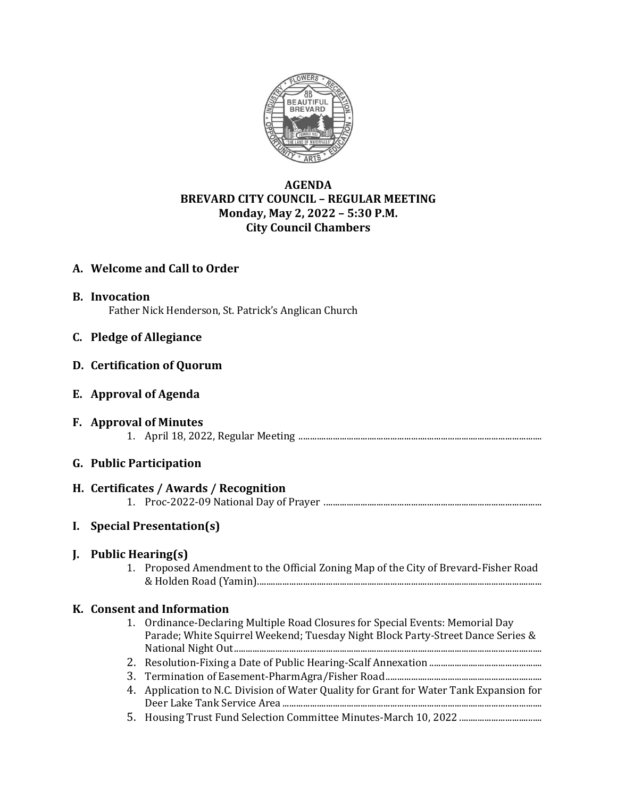

# **AGENDA BREVARD CITY COUNCIL – REGULAR MEETING Monday, May 2, 2022 – 5:30 P.M. City Council Chambers**

# **A. Welcome and Call to Order**

**B. Invocation** Father Nick Henderson, St. Patrick's Anglican Church

### **C. Pledge of Allegiance**

### **D. Certification of Quorum**

**E. Approval of Agenda**

#### **F. Approval of Minutes** 1. April 18, 2022, Regular Meeting ..........................................................................................................

### **G. Public Participation**

# **H. Certificates / Awards / Recognition**

1. Proc-2022-09 National Day of Prayer ...............................................................................................

# **I. Special Presentation(s)**

### **J. Public Hearing(s)**

1. Proposed Amendment to the Official Zoning Map of the City of Brevard-Fisher Road & Holden Road (Yamin)............................................................................................................................

### **K. Consent and Information**

- 1. Ordinance-Declaring Multiple Road Closures for Special Events: Memorial Day Parade; White Squirrel Weekend; Tuesday Night Block Party-Street Dance Series & National Night Out......................................................................................................................................
- 2. Resolution-Fixing a Date of Public Hearing-Scalf Annexation .................................................
- 3. Termination of Easement-PharmAgra/Fisher Road....................................................................
- 4. Application to N.C. Division of Water Quality for Grant for Water Tank Expansion for Deer Lake Tank Service Area .................................................................................................................
- 5. Housing Trust Fund Selection Committee Minutes-March 10, 2022 ....................................